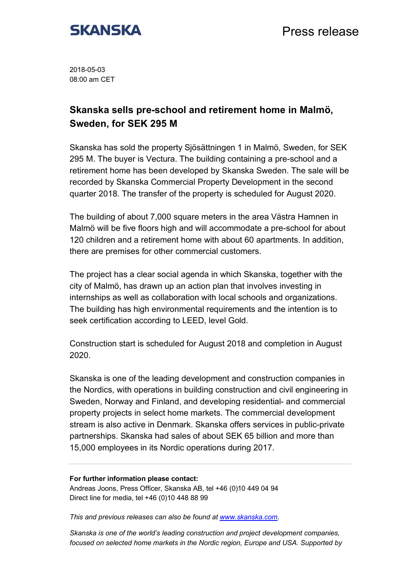

2018-05-03 08:00 am CET

## **Skanska sells pre-school and retirement home in Malmö, Sweden, for SEK 295 M**

Skanska has sold the property Sjösättningen 1 in Malmö, Sweden, for SEK 295 M. The buyer is Vectura. The building containing a pre-school and a retirement home has been developed by Skanska Sweden. The sale will be recorded by Skanska Commercial Property Development in the second quarter 2018. The transfer of the property is scheduled for August 2020.

The building of about 7,000 square meters in the area Västra Hamnen in Malmö will be five floors high and will accommodate a pre-school for about 120 children and a retirement home with about 60 apartments. In addition, there are premises for other commercial customers.

The project has a clear social agenda in which Skanska, together with the city of Malmö, has drawn up an action plan that involves investing in internships as well as collaboration with local schools and organizations. The building has high environmental requirements and the intention is to seek certification according to LEED, level Gold.

Construction start is scheduled for August 2018 and completion in August 2020.

Skanska is one of the leading development and construction companies in the Nordics, with operations in building construction and civil engineering in Sweden, Norway and Finland, and developing residential- and commercial property projects in select home markets. The commercial development stream is also active in Denmark. Skanska offers services in public-private partnerships. Skanska had sales of about SEK 65 billion and more than 15,000 employees in its Nordic operations during 2017.

## **For further information please contact:**

Andreas Joons, Press Officer, Skanska AB, tel +46 (0)10 449 04 94 Direct line for media, tel +46 (0)10 448 88 99

*This and previous releases can also be found at www.skanska.com*.

*Skanska is one of the world's leading construction and project development companies, focused on selected home markets in the Nordic region, Europe and USA. Supported by*